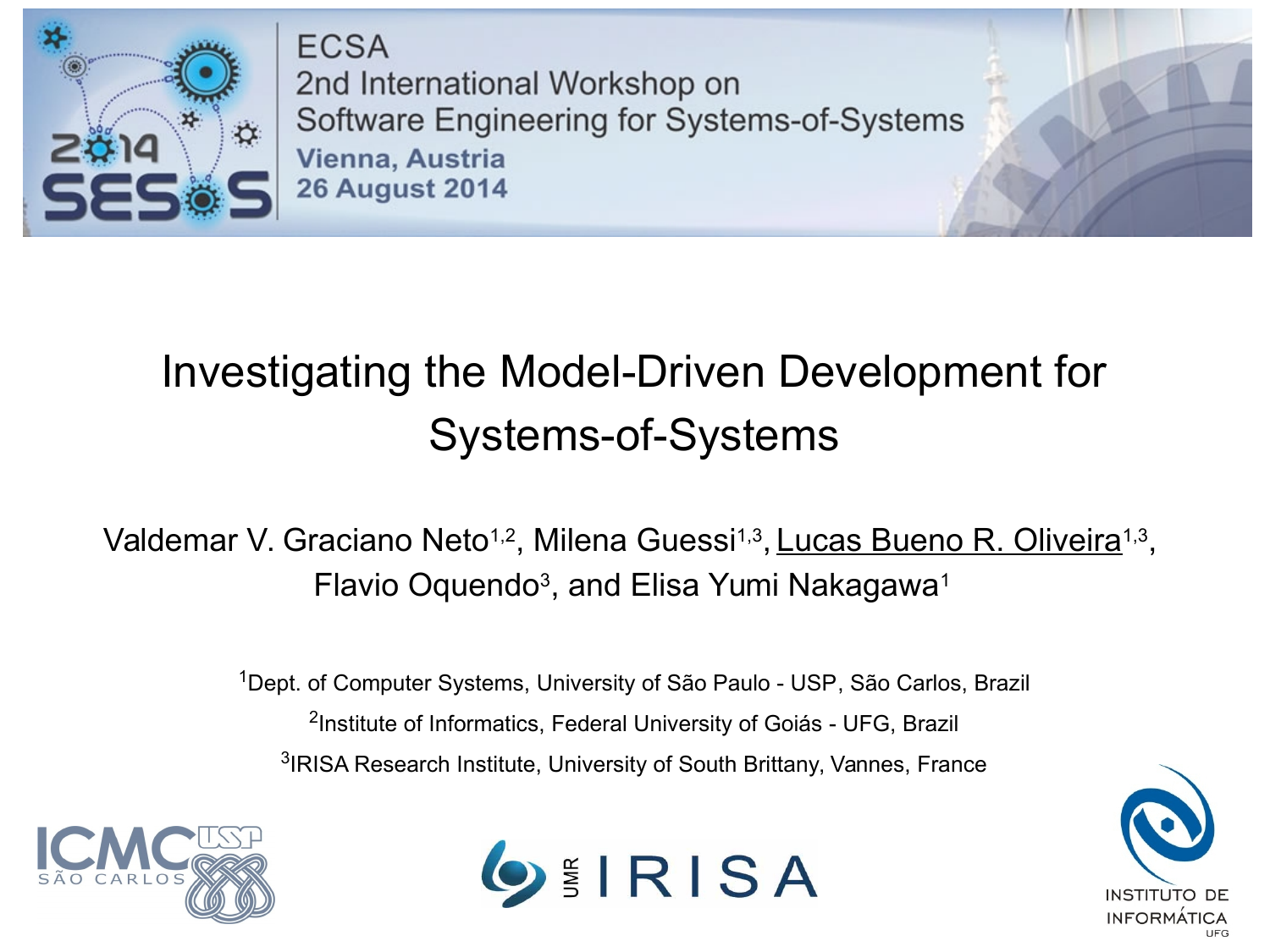

**ECSA** 2nd International Workshop on Software Engineering for Systems-of-Systems Vienna, Austria **26 August 2014** 

#### Investigating the Model-Driven Development for Systems-of-Systems

#### Valdemar V. Graciano Neto<sup>1,2</sup>, Milena Guessi<sup>1,3</sup>, <u>Lucas Bueno R. Oliveira</u><sup>1,3</sup>, Flavio Oquendo<sup>3</sup>, and Elisa Yumi Nakagawa<sup>1</sup>

<sup>1</sup>Dept. of Computer Systems, University of São Paulo - USP, São Carlos, Brazil <sup>2</sup>Institute of Informatics, Federal University of Goiás - UFG, Brazil <sup>3</sup>IRISA Research Institute, University of South Brittany, Vannes, France





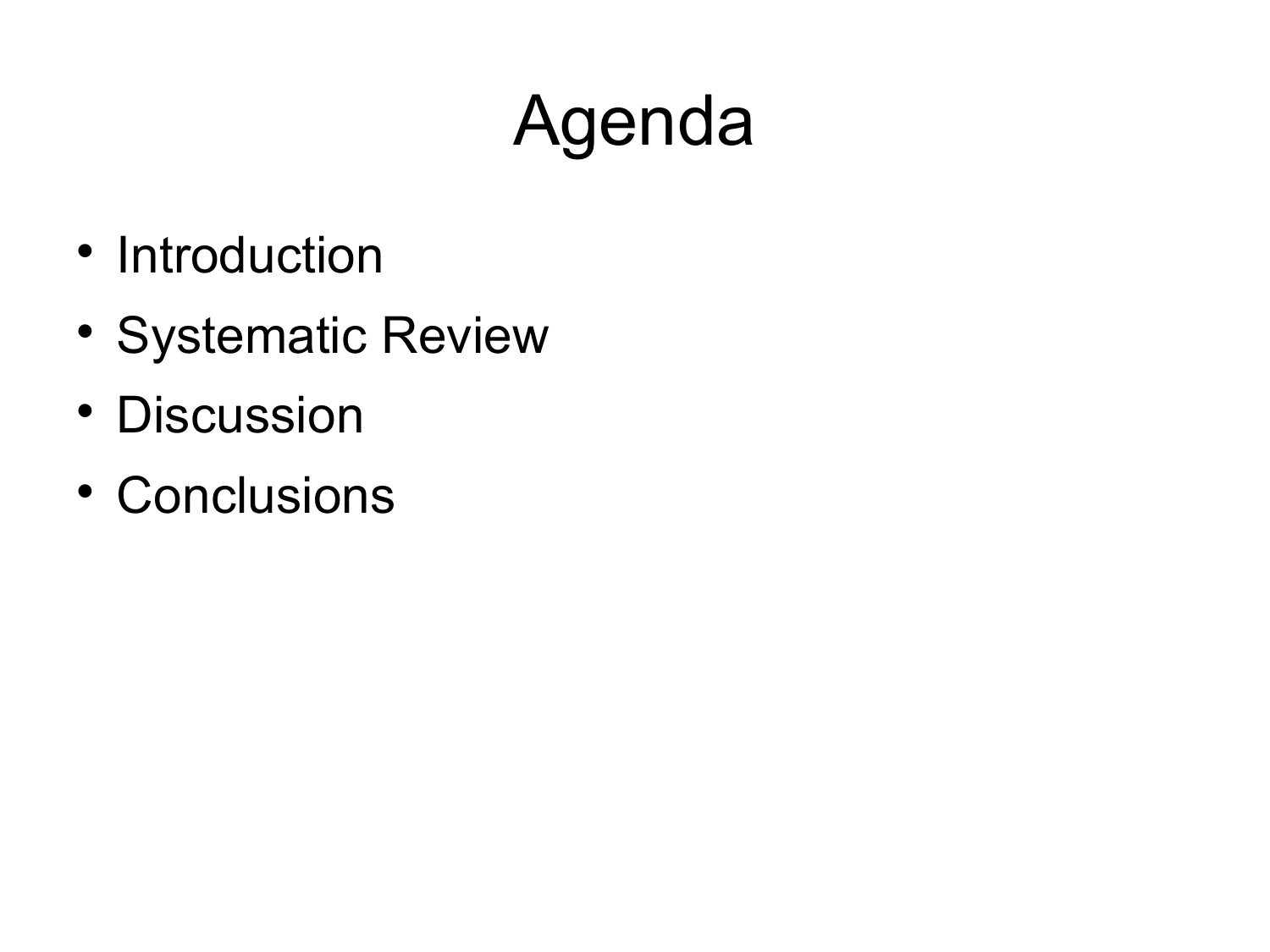# Agenda

- Introduction
- Systematic Review
- Discussion
- Conclusions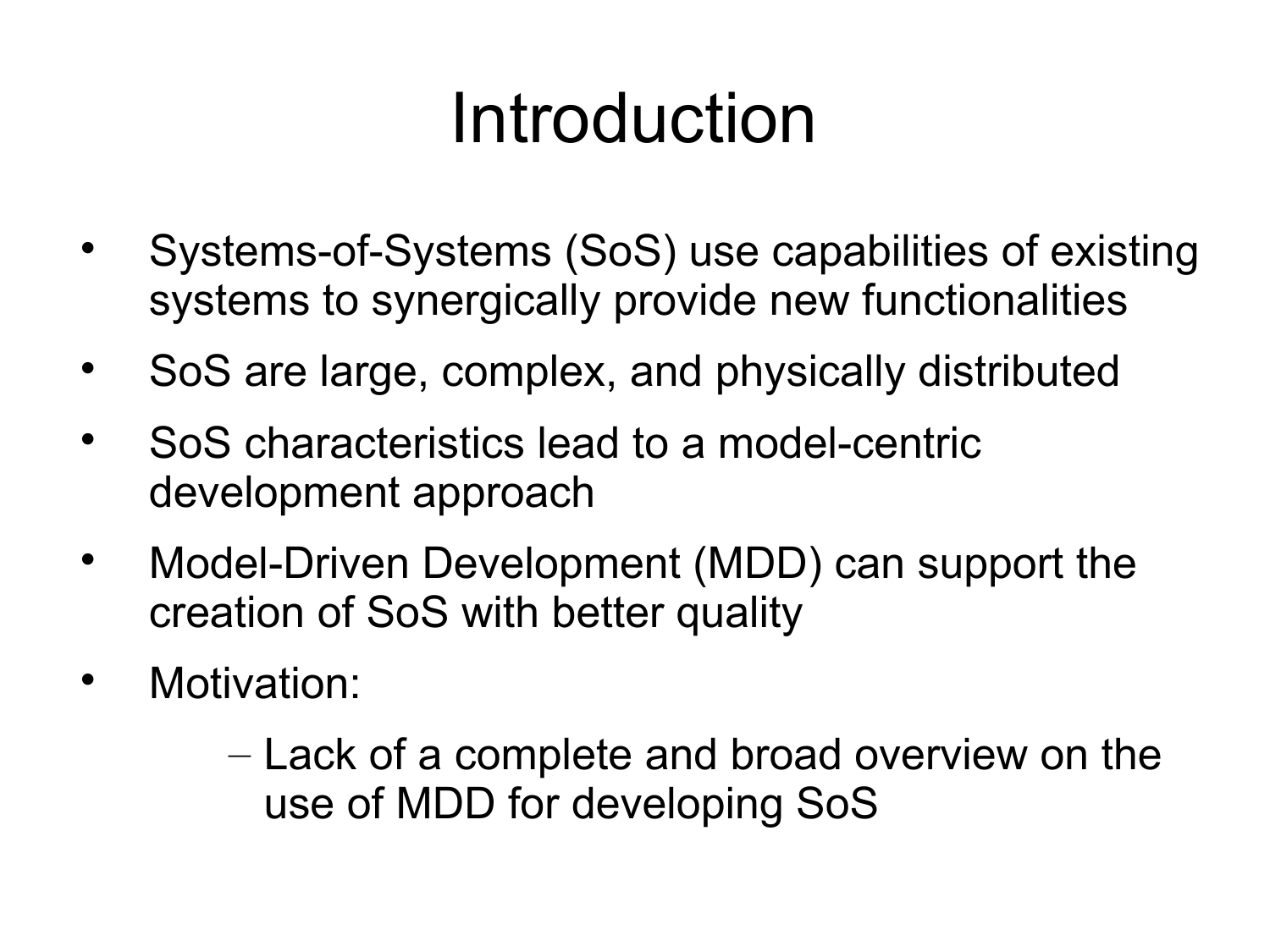## Introduction

- Systems-of-Systems (SoS) use capabilities of existing systems to synergically provide new functionalities
- SoS are large, complex, and physically distributed
- SoS characteristics lead to a model-centric development approach
- Model-Driven Development (MDD) can support the creation of SoS with better quality
- Motivation:
	- Lack of a complete and broad overview on the use of MDD for developing SoS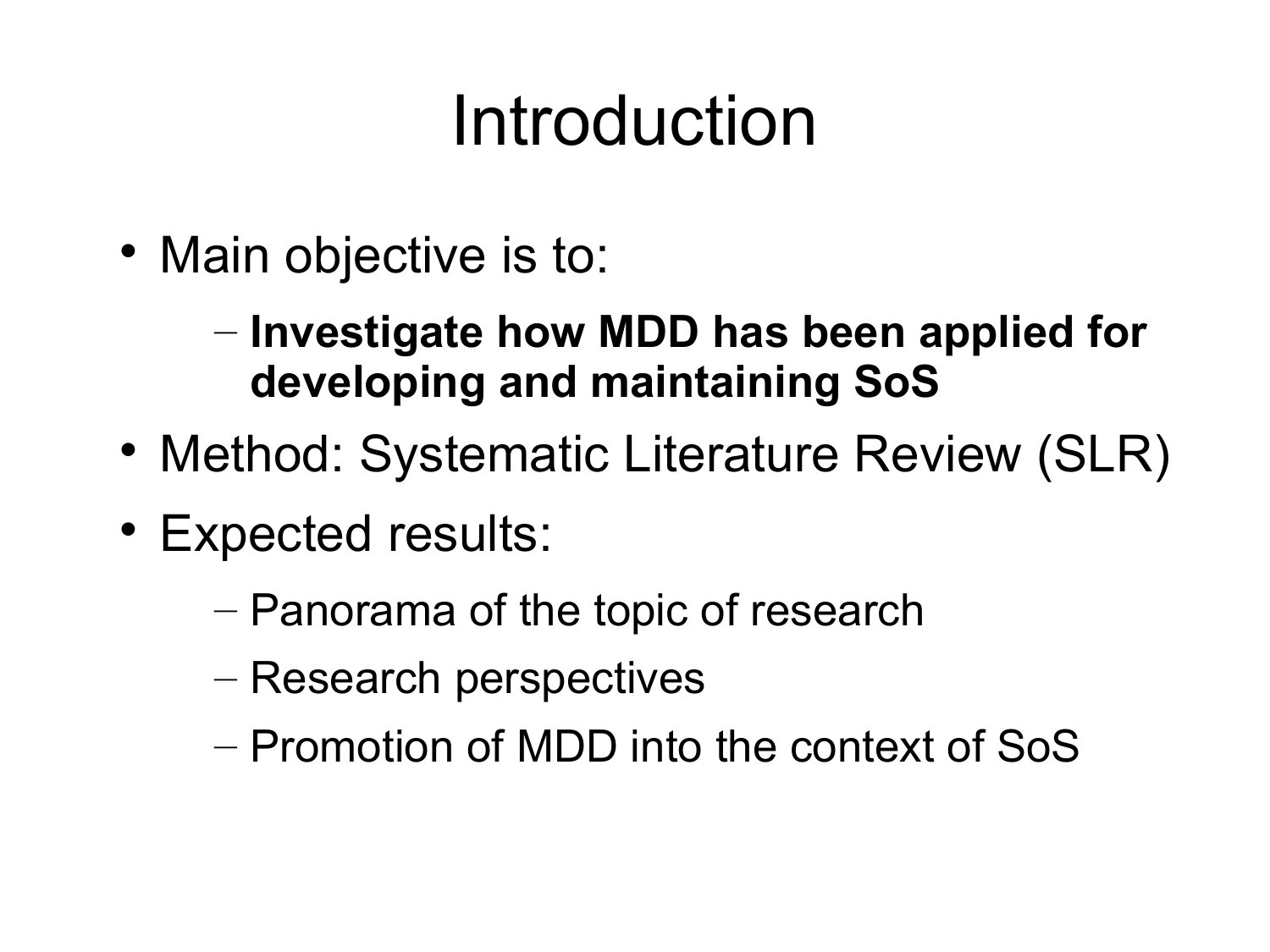## Introduction

- Main objective is to:
	- **Investigate how MDD has been applied for developing and maintaining SoS**
- Method: Systematic Literature Review (SLR)
- Expected results:
	- Panorama of the topic of research
	- Research perspectives
	- Promotion of MDD into the context of SoS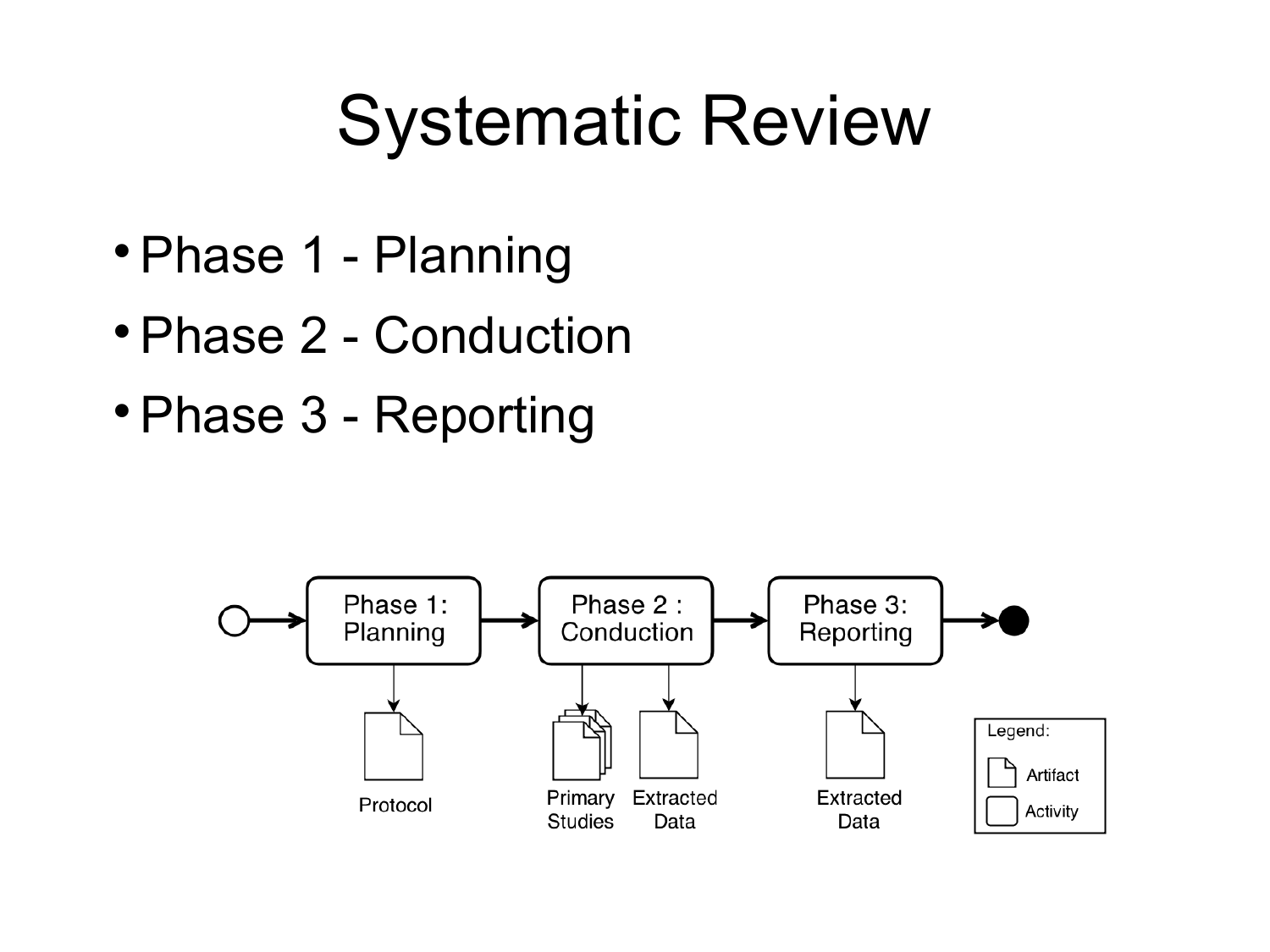#### Systematic Review

- Phase 1 Planning
- Phase 2 Conduction
- Phase 3 Reporting

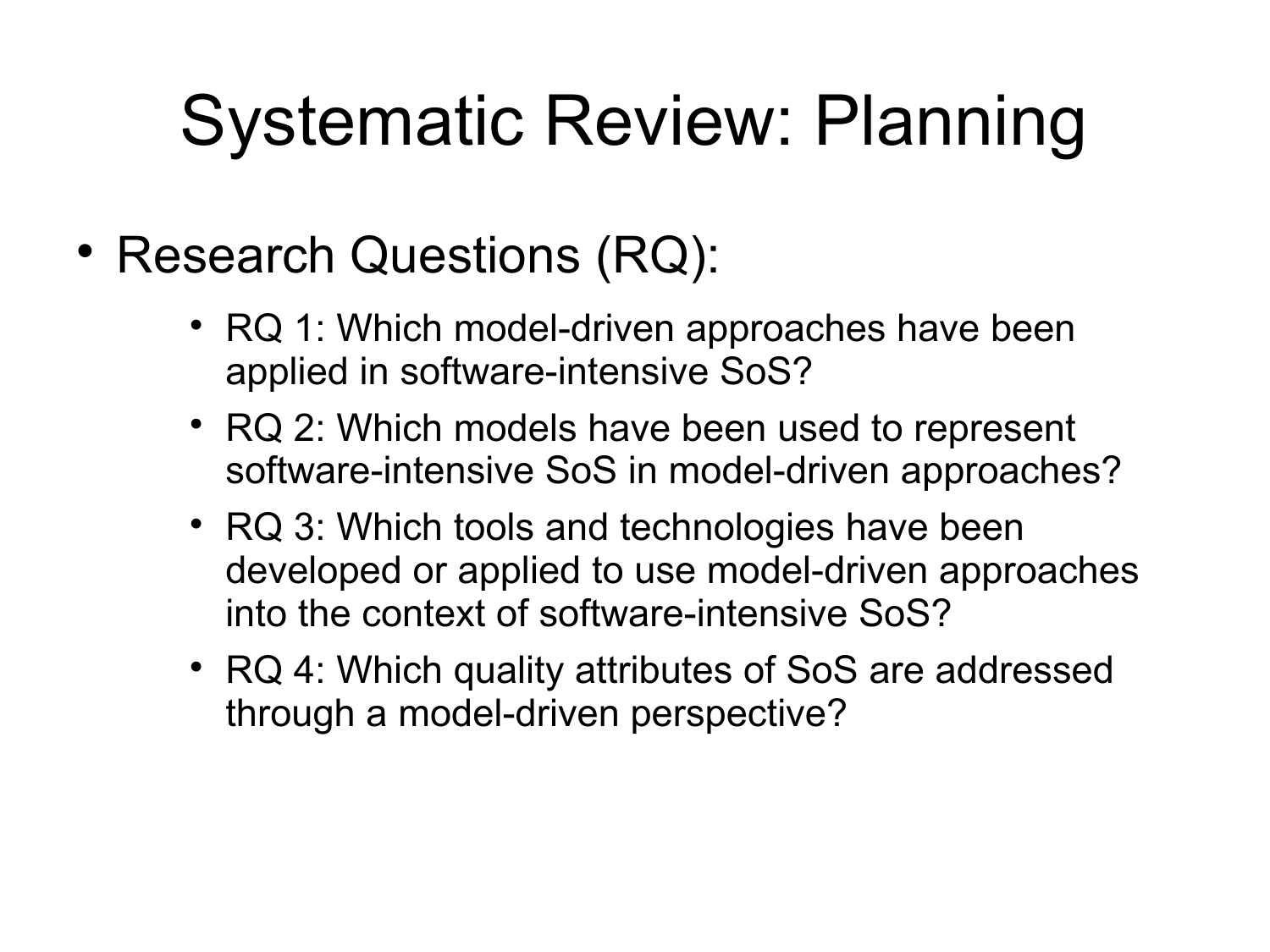# Systematic Review: Planning

- Research Questions (RQ):
	- RQ 1: Which model-driven approaches have been applied in software-intensive SoS?
	- RQ 2: Which models have been used to represent software-intensive SoS in model-driven approaches?
	- RQ 3: Which tools and technologies have been developed or applied to use model-driven approaches into the context of software-intensive SoS?
	- RQ 4: Which quality attributes of SoS are addressed through a model-driven perspective?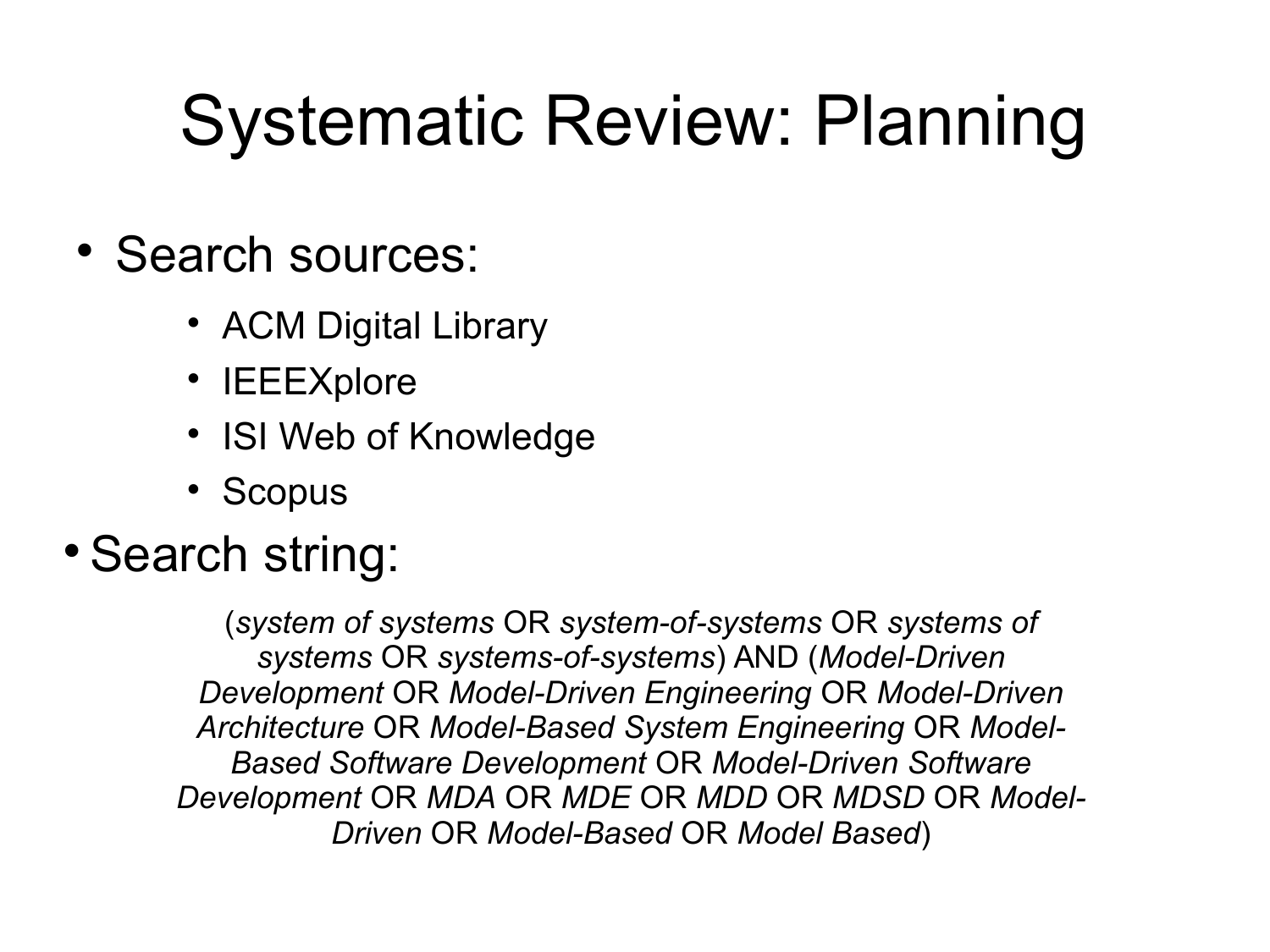# Systematic Review: Planning

- Search sources:
	- ACM Digital Library
	- IEEEXplore
	- ISI Web of Knowledge
	- Scopus

#### • Search string:

(*system of systems* OR *system-of-systems* OR *systems of systems* OR *systems-of-systems*) AND (*Model-Driven Development* OR *Model-Driven Engineering* OR *Model-Driven Architecture* OR *Model-Based System Engineering* OR *Model-Based Software Development* OR *Model-Driven Software Development* OR *MDA* OR *MDE* OR *MDD* OR *MDSD* OR *Model-Driven* OR *Model-Based* OR *Model Based*)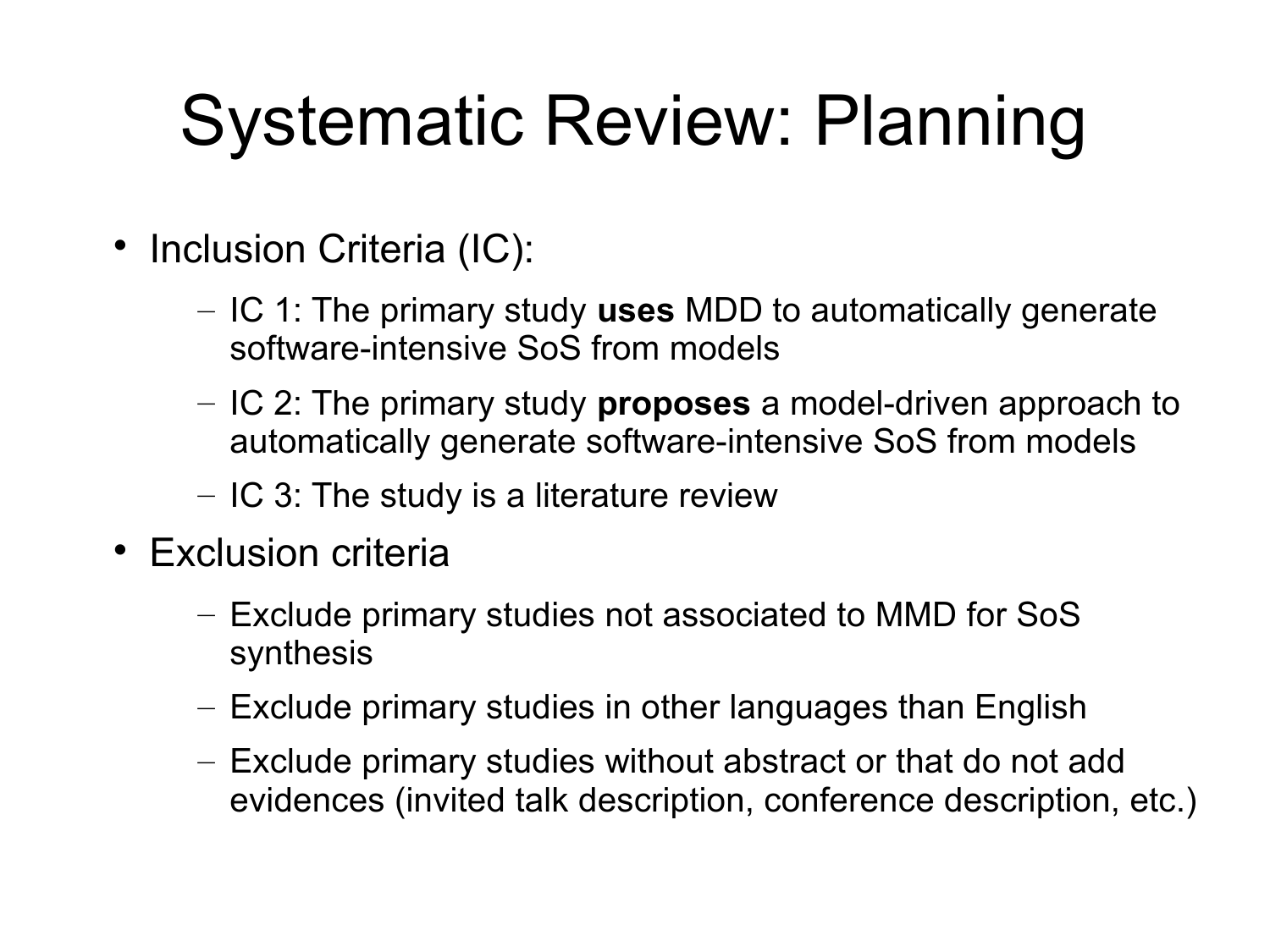# Systematic Review: Planning

- Inclusion Criteria (IC):
	- IC 1: The primary study **uses** MDD to automatically generate software-intensive SoS from models
	- IC 2: The primary study **proposes** a model-driven approach to automatically generate software-intensive SoS from models
	- IC 3: The study is a literature review
- Exclusion criteria
	- Exclude primary studies not associated to MMD for SoS synthesis
	- Exclude primary studies in other languages than English
	- Exclude primary studies without abstract or that do not add evidences (invited talk description, conference description, etc.)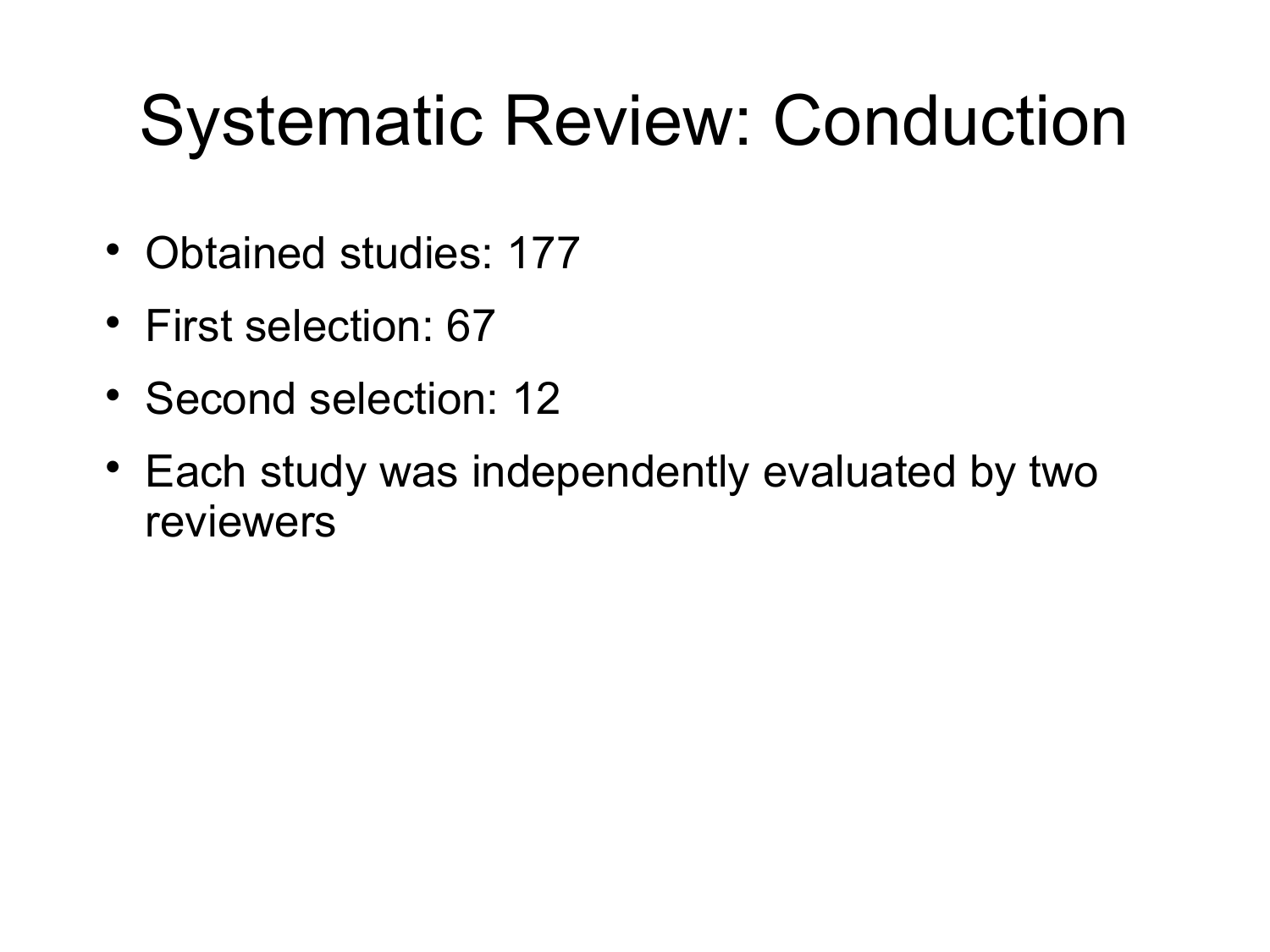## Systematic Review: Conduction

- Obtained studies: 177
- First selection: 67
- Second selection: 12
- Each study was independently evaluated by two reviewers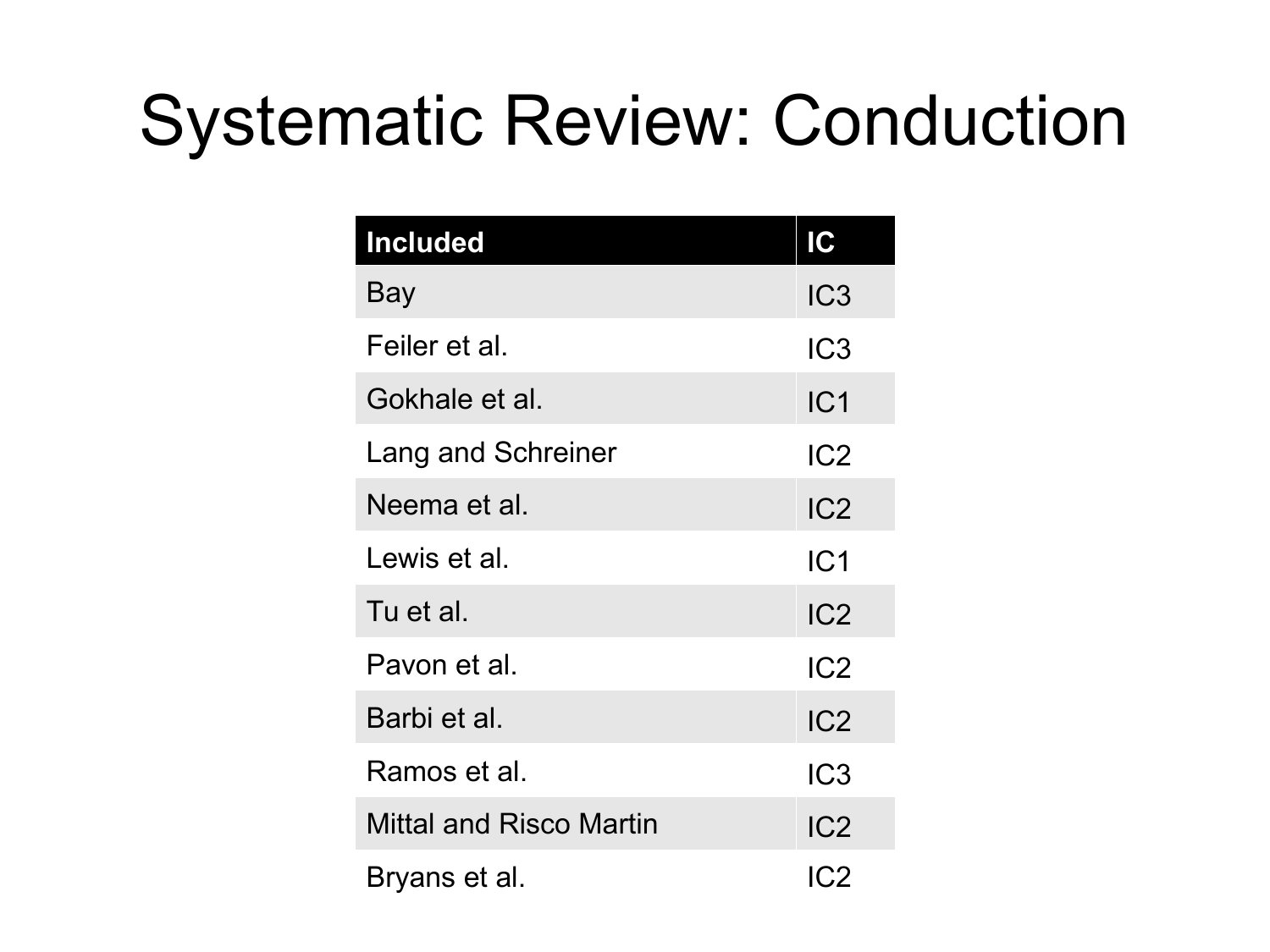## Systematic Review: Conduction

| <b>Included</b>         | IC              |
|-------------------------|-----------------|
| Bay                     | IC <sub>3</sub> |
| Feiler et al.           | IC <sub>3</sub> |
| Gokhale et al.          | IC1             |
| Lang and Schreiner      | IC2             |
| Neema et al.            | IC2             |
| Lewis et al.            | IC <sub>1</sub> |
| Tu et al.               | IC <sub>2</sub> |
| Pavon et al.            | IC <sub>2</sub> |
| Barbi et al.            | IC <sub>2</sub> |
| Ramos et al.            | IC <sub>3</sub> |
| Mittal and Risco Martin | IC <sub>2</sub> |
| Bryans et al.           | IC2             |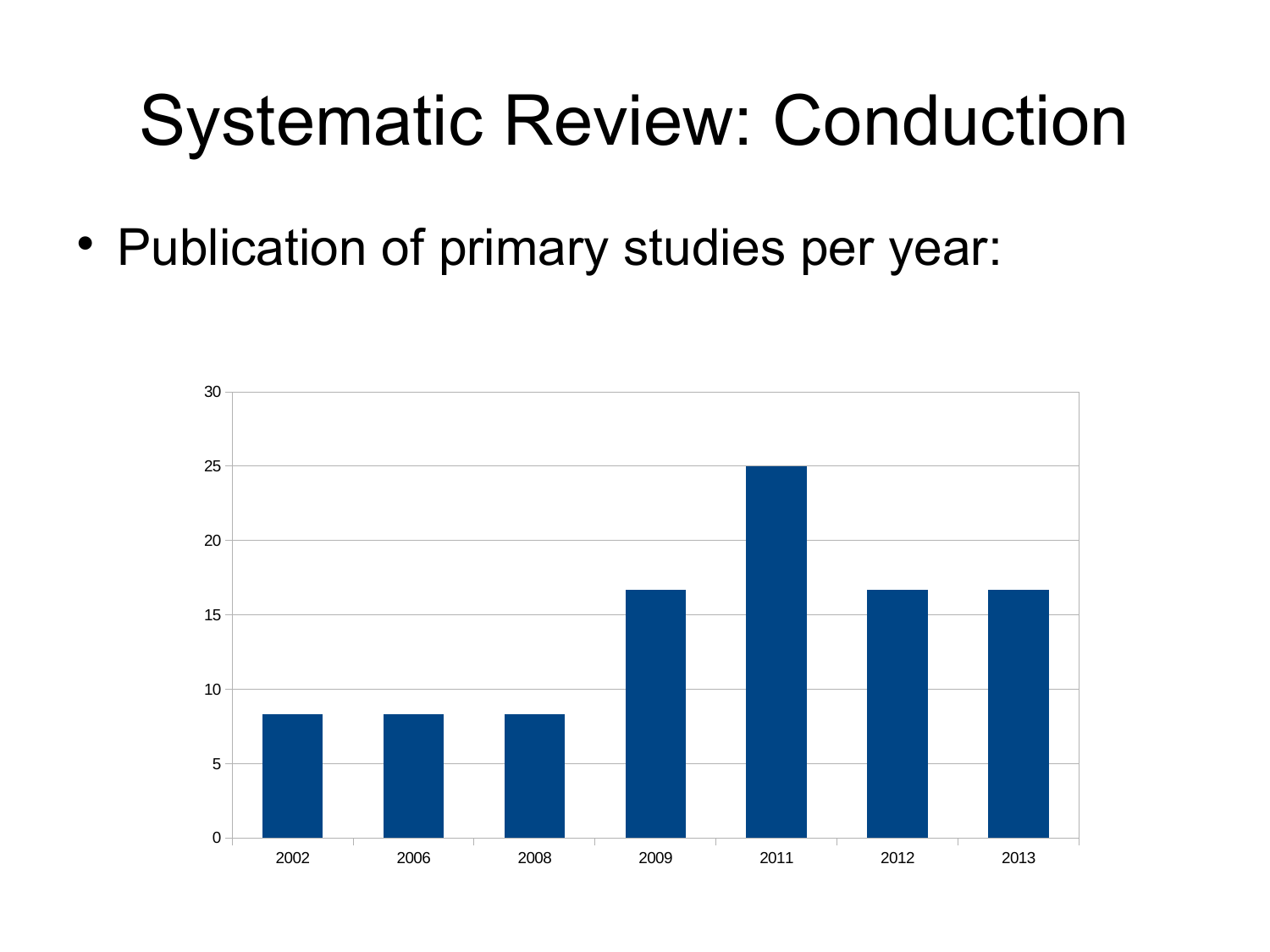#### Systematic Review: Conduction

• Publication of primary studies per year:

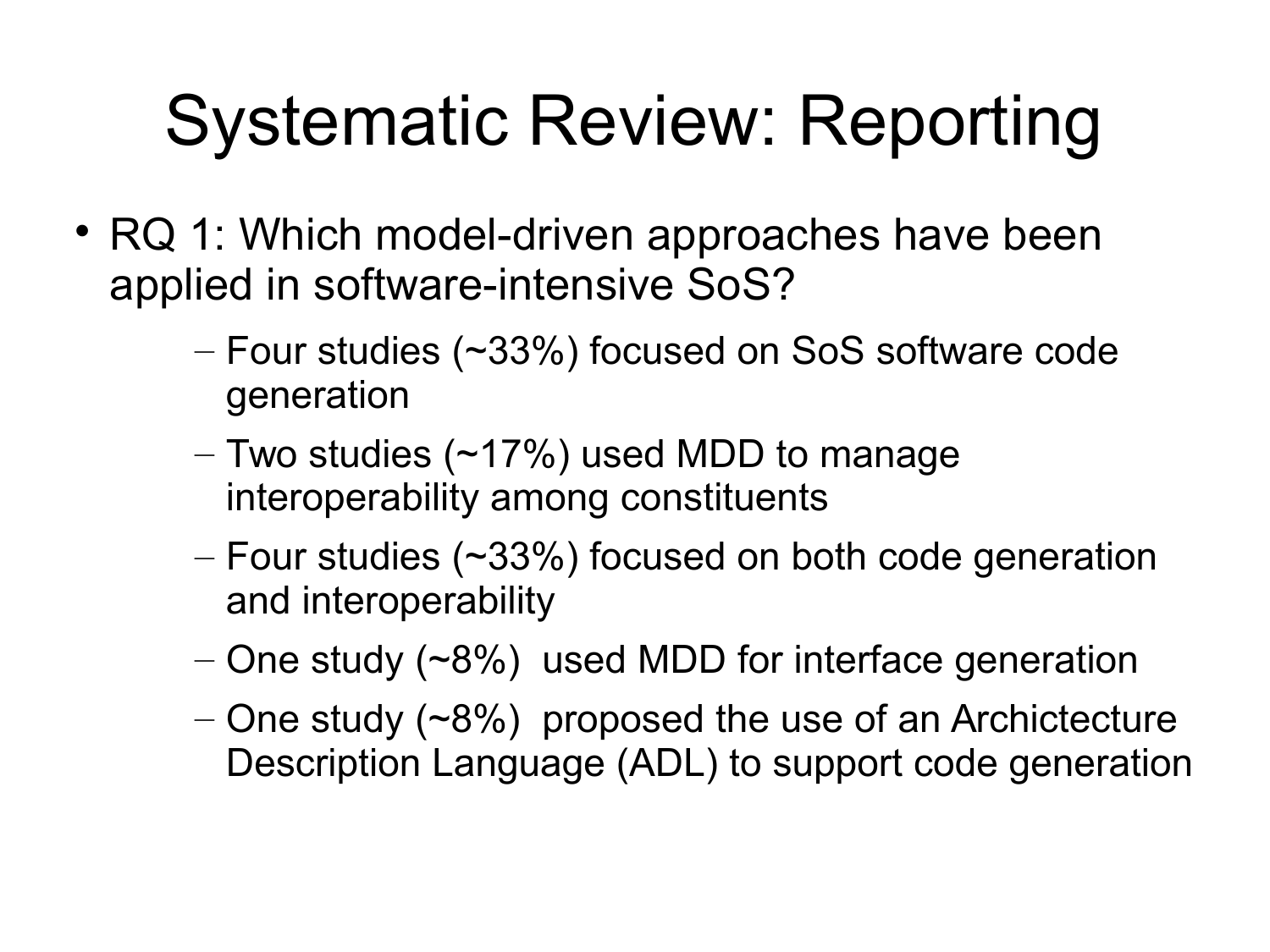- RQ 1: Which model-driven approaches have been applied in software-intensive SoS?
	- Four studies (~33%) focused on SoS software code generation
	- Two studies (~17%) used MDD to manage interoperability among constituents
	- $-$  Four studies ( $\sim$ 33%) focused on both code generation and interoperability
	- $-$  One study ( $-8\%$ ) used MDD for interface generation
	- One study  $(~8\%)$  proposed the use of an Archictecture Description Language (ADL) to support code generation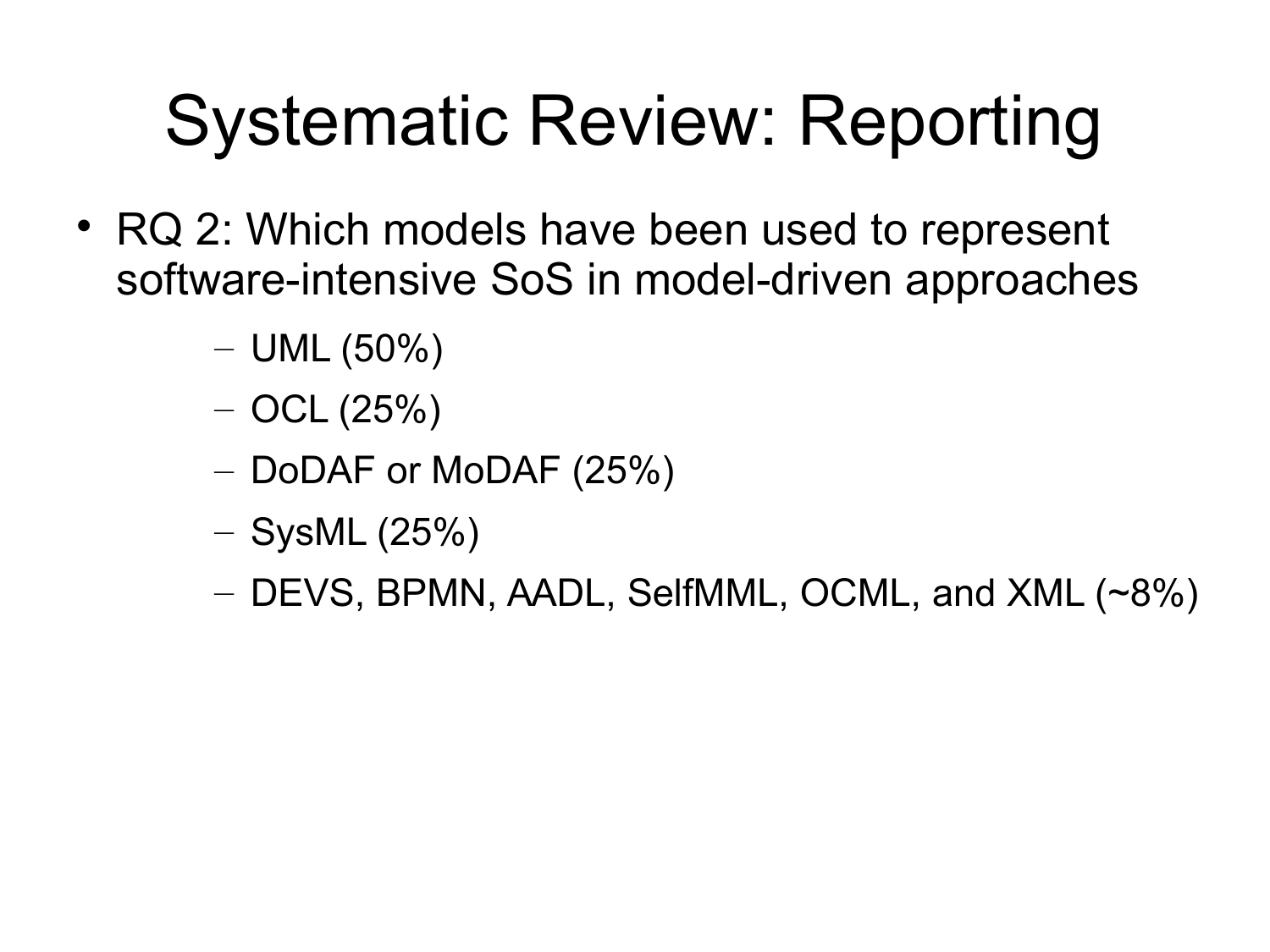- RQ 2: Which models have been used to represent software-intensive SoS in model-driven approaches
	- $-$  UML (50%)
	- $-$  OCL (25%)
	- DoDAF or MoDAF (25%)
	- $-$  SysML (25%)
	- DEVS, BPMN, AADL, SelfMML, OCML, and XML (~8%)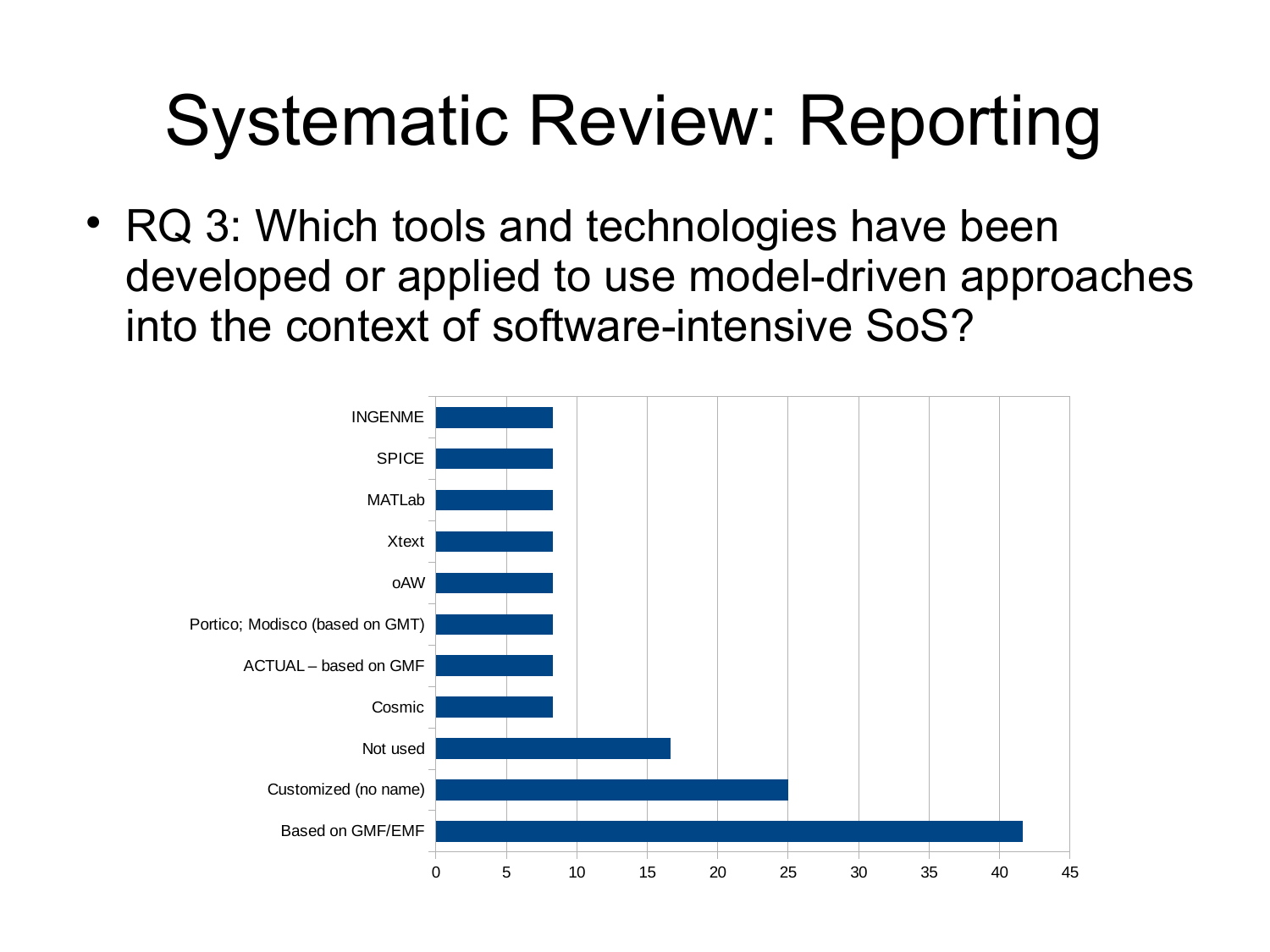• RQ 3: Which tools and technologies have been developed or applied to use model-driven approaches into the context of software-intensive SoS?

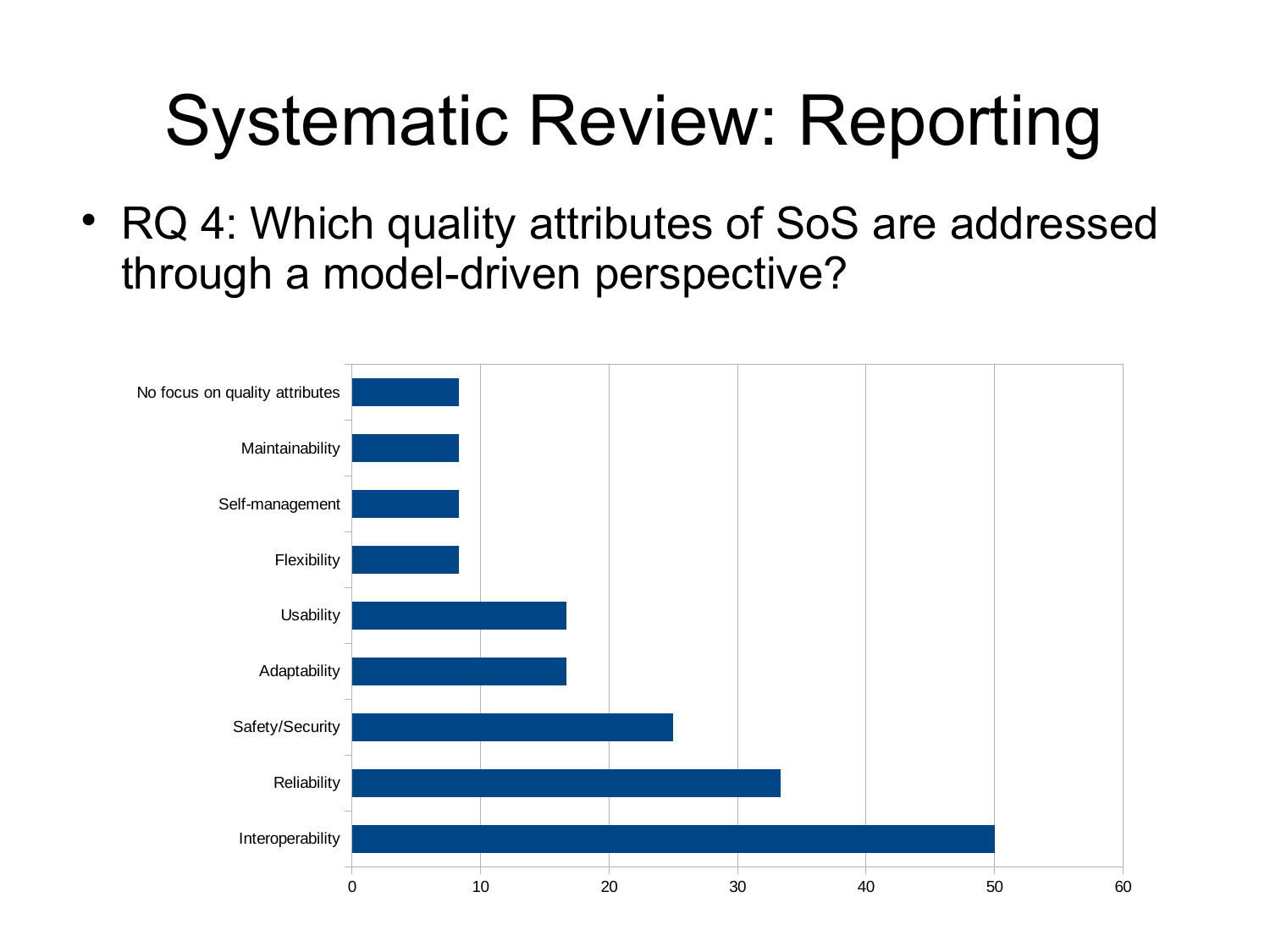RQ 4: Which quality attributes of SoS are addressed through a model-driven perspective?

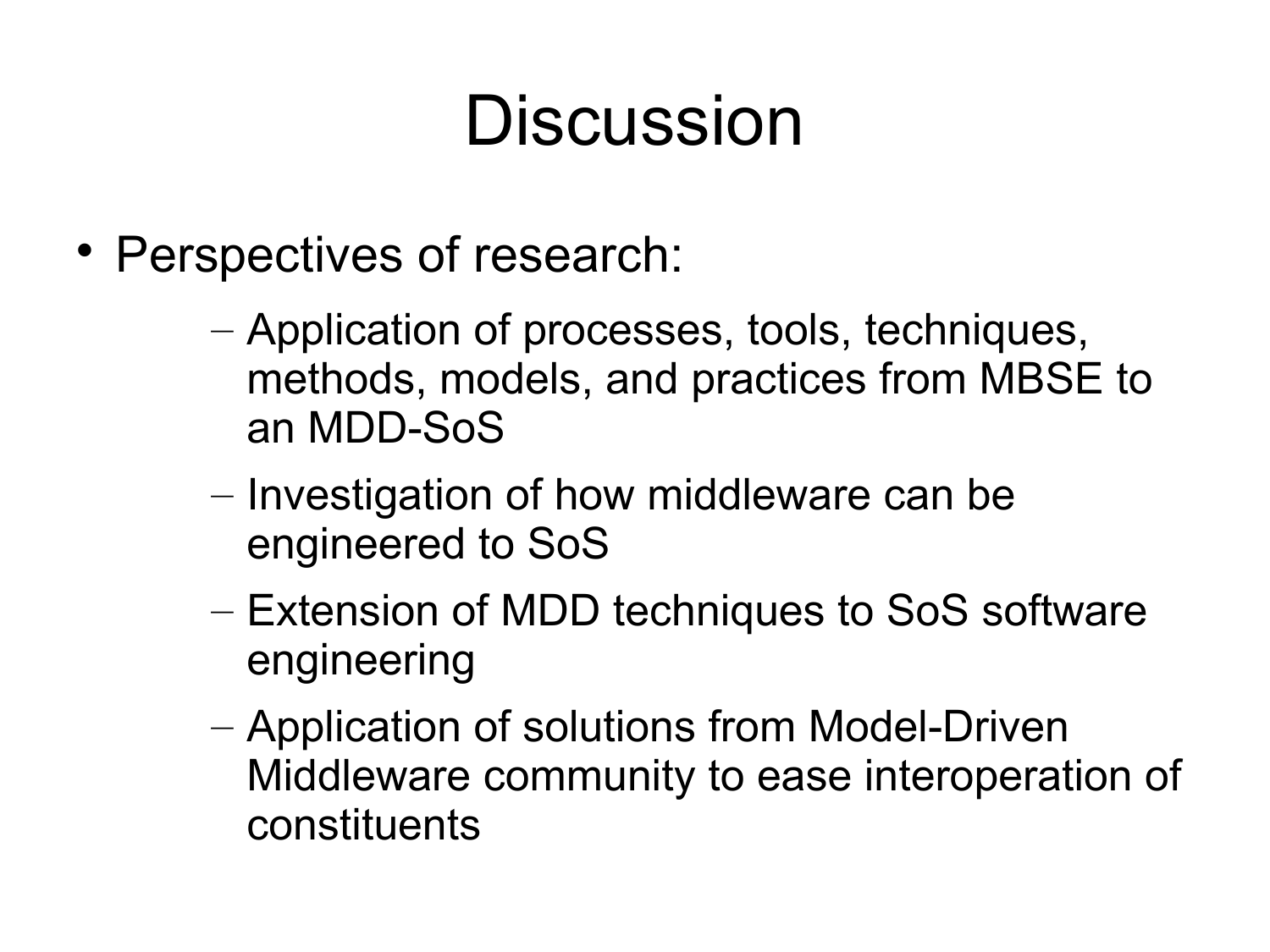#### Discussion

- Perspectives of research:
	- Application of processes, tools, techniques, methods, models, and practices from MBSE to an MDD-SoS
	- Investigation of how middleware can be engineered to SoS
	- Extension of MDD techniques to SoS software engineering
	- Application of solutions from Model-Driven Middleware community to ease interoperation of constituents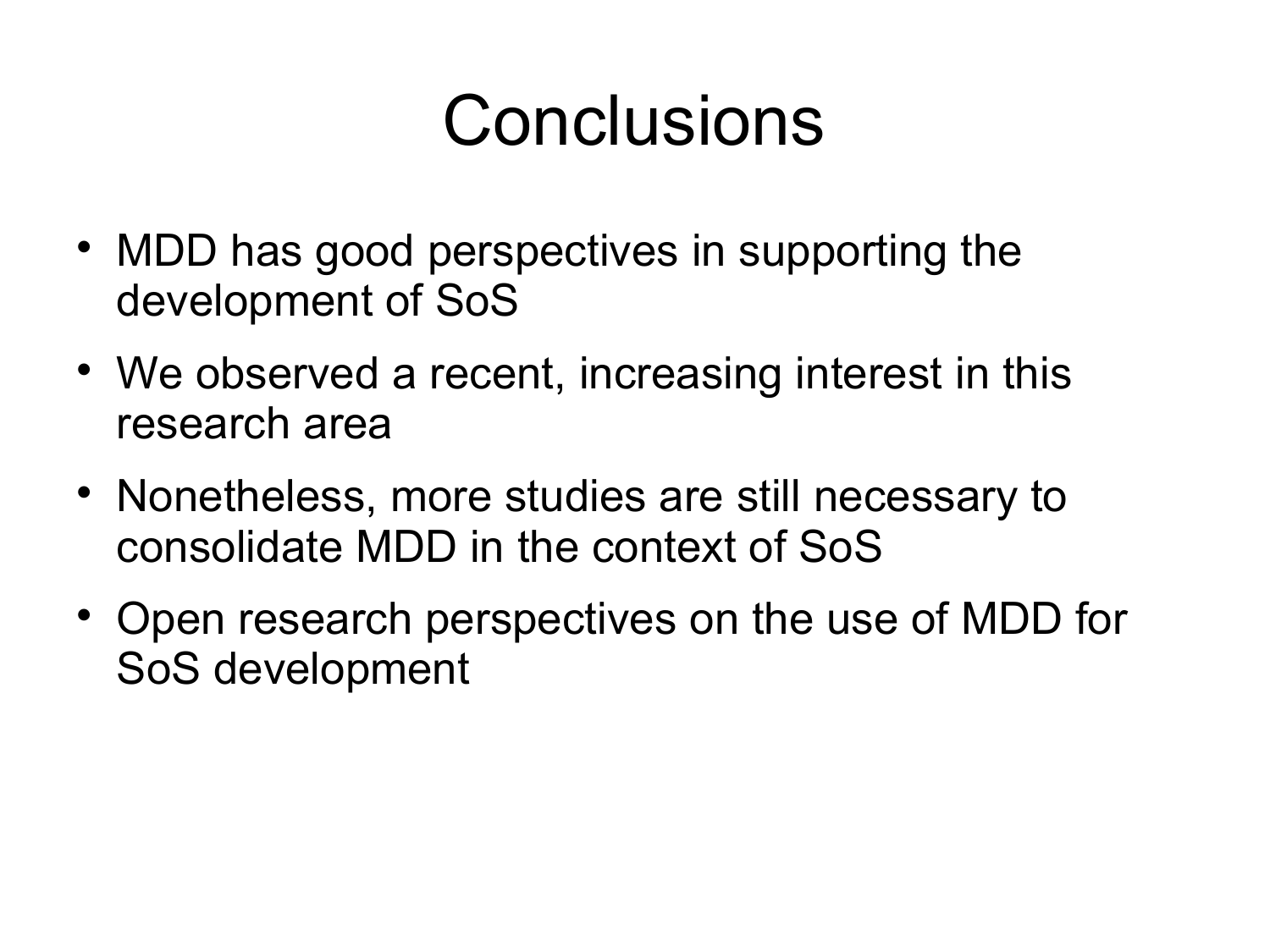#### Conclusions

- MDD has good perspectives in supporting the development of SoS
- We observed a recent, increasing interest in this research area
- Nonetheless, more studies are still necessary to consolidate MDD in the context of SoS
- Open research perspectives on the use of MDD for SoS development